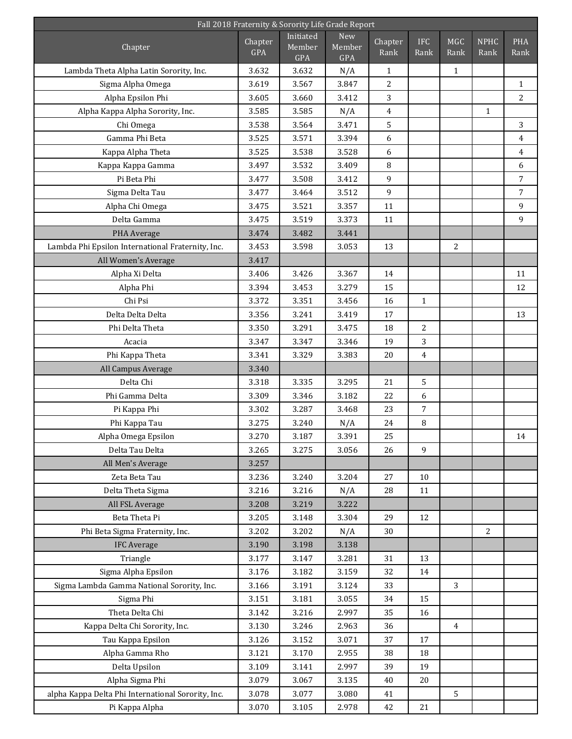| Fall 2018 Fraternity & Sorority Life Grade Report                     |                       |                            |                      |                  |                    |                    |                     |                    |  |  |
|-----------------------------------------------------------------------|-----------------------|----------------------------|----------------------|------------------|--------------------|--------------------|---------------------|--------------------|--|--|
| Chapter                                                               | Chapter<br><b>GPA</b> | Initiated<br>Member<br>GPA | New<br>Member<br>GPA | Chapter<br>Rank  | <b>IFC</b><br>Rank | <b>MGC</b><br>Rank | <b>NPHC</b><br>Rank | <b>PHA</b><br>Rank |  |  |
| Lambda Theta Alpha Latin Sorority, Inc.                               | 3.632                 | 3.632                      | N/A                  | $\mathbf{1}$     |                    | $\mathbf{1}$       |                     |                    |  |  |
| Sigma Alpha Omega                                                     | 3.619                 | 3.567                      | 3.847                | 2                |                    |                    |                     | $\mathbf{1}$       |  |  |
| Alpha Epsilon Phi                                                     | 3.605                 | 3.660                      | 3.412                | 3                |                    |                    |                     | $\overline{2}$     |  |  |
| Alpha Kappa Alpha Sorority, Inc.                                      | 3.585                 | 3.585                      | N/A                  | $\overline{4}$   |                    |                    | $\mathbf{1}$        |                    |  |  |
| Chi Omega                                                             | 3.538                 | 3.564                      | 3.471                | 5                |                    |                    |                     | 3                  |  |  |
| Gamma Phi Beta                                                        | 3.525                 | 3.571                      | 3.394                | 6                |                    |                    |                     | $\overline{4}$     |  |  |
| Kappa Alpha Theta                                                     | 3.525                 | 3.538                      | 3.528                | 6                |                    |                    |                     | $\overline{4}$     |  |  |
| Kappa Kappa Gamma                                                     | 3.497                 | 3.532                      | 3.409                | 8                |                    |                    |                     | 6                  |  |  |
| Pi Beta Phi                                                           | 3.477                 | 3.508                      | 3.412                | 9                |                    |                    |                     | $\sqrt{ }$         |  |  |
| Sigma Delta Tau                                                       | 3.477                 | 3.464                      | 3.512                | $\boldsymbol{9}$ |                    |                    |                     | $\overline{7}$     |  |  |
| Alpha Chi Omega                                                       | 3.475                 | 3.521                      | 3.357                | 11               |                    |                    |                     | 9                  |  |  |
| Delta Gamma                                                           | 3.475                 | 3.519                      | 3.373                | 11               |                    |                    |                     | 9                  |  |  |
| PHA Average                                                           | 3.474                 | 3.482                      | 3.441                |                  |                    |                    |                     |                    |  |  |
| Lambda Phi Epsilon International Fraternity, Inc.                     | 3.453                 | 3.598                      | 3.053                | 13               |                    | $\overline{2}$     |                     |                    |  |  |
| All Women's Average                                                   | 3.417                 |                            |                      |                  |                    |                    |                     |                    |  |  |
| Alpha Xi Delta                                                        | 3.406                 | 3.426                      | 3.367                | 14               |                    |                    |                     | 11                 |  |  |
| Alpha Phi                                                             | 3.394                 | 3.453                      | 3.279                | 15               |                    |                    |                     | 12                 |  |  |
| Chi Psi                                                               | 3.372                 | 3.351                      | 3.456                | 16               | $\mathbf{1}$       |                    |                     |                    |  |  |
| Delta Delta Delta                                                     | 3.356                 | 3.241                      | 3.419                | 17               |                    |                    |                     | 13                 |  |  |
| Phi Delta Theta                                                       | 3.350                 | 3.291                      | 3.475                | 18               | 2                  |                    |                     |                    |  |  |
| Acacia                                                                | 3.347                 | 3.347                      | 3.346                | 19               | 3                  |                    |                     |                    |  |  |
| Phi Kappa Theta                                                       | 3.341                 | 3.329                      | 3.383                | 20               | $\overline{4}$     |                    |                     |                    |  |  |
| All Campus Average                                                    | 3.340                 |                            |                      |                  |                    |                    |                     |                    |  |  |
| Delta Chi                                                             | 3.318                 | 3.335                      | 3.295                | 21               | 5                  |                    |                     |                    |  |  |
| Phi Gamma Delta                                                       | 3.309                 | 3.346                      | 3.182                | 22               | 6                  |                    |                     |                    |  |  |
| Pi Kappa Phi                                                          | 3.302                 | 3.287                      | 3.468                | 23               | 7                  |                    |                     |                    |  |  |
| Phi Kappa Tau                                                         | 3.275                 | 3.240                      | N/A                  | 24               | 8                  |                    |                     |                    |  |  |
| Alpha Omega Epsilon                                                   | 3.270                 | 3.187                      | 3.391                | 25               |                    |                    |                     | 14                 |  |  |
| Delta Tau Delta                                                       | 3.265                 | 3.275                      | 3.056                | 26               | 9                  |                    |                     |                    |  |  |
| All Men's Average                                                     | 3.257                 |                            |                      |                  |                    |                    |                     |                    |  |  |
| Zeta Beta Tau                                                         | 3.236                 | 3.240                      | 3.204                | 27               | 10                 |                    |                     |                    |  |  |
| Delta Theta Sigma                                                     | 3.216                 | 3.216                      | N/A                  | 28               | 11                 |                    |                     |                    |  |  |
| All FSL Average                                                       | 3.208                 | 3.219                      | 3.222                |                  |                    |                    |                     |                    |  |  |
| Beta Theta Pi                                                         | 3.205                 | 3.148                      | 3.304                | 29               | 12                 |                    |                     |                    |  |  |
| Phi Beta Sigma Fraternity, Inc.                                       | 3.202                 | 3.202                      | N/A                  | 30               |                    |                    | 2                   |                    |  |  |
| <b>IFC Average</b>                                                    | 3.190                 | 3.198                      | 3.138                |                  |                    |                    |                     |                    |  |  |
| Triangle                                                              | 3.177                 | 3.147                      | 3.281                | 31               | 13                 |                    |                     |                    |  |  |
| Sigma Alpha Epsilon                                                   | 3.176                 | 3.182                      | 3.159                | 32               | 14                 |                    |                     |                    |  |  |
| Sigma Lambda Gamma National Sorority, Inc.                            | 3.166                 | 3.191                      | 3.124                | 33               |                    | 3                  |                     |                    |  |  |
| Sigma Phi                                                             | 3.151                 | 3.181                      | 3.055                | 34               | 15                 |                    |                     |                    |  |  |
| Theta Delta Chi                                                       | 3.142                 | 3.216                      | 2.997                | 35               | 16                 |                    |                     |                    |  |  |
| Kappa Delta Chi Sorority, Inc.                                        | 3.130                 | 3.246                      | 2.963                | 36               |                    | $\overline{4}$     |                     |                    |  |  |
| Tau Kappa Epsilon                                                     | 3.126                 | 3.152                      | 3.071                | 37               | 17                 |                    |                     |                    |  |  |
| Alpha Gamma Rho                                                       | 3.121                 | 3.170                      | 2.955                | 38               | 18                 |                    |                     |                    |  |  |
| Delta Upsilon                                                         | 3.109                 | 3.141                      | 2.997                | 39               | 19                 |                    |                     |                    |  |  |
| Alpha Sigma Phi<br>alpha Kappa Delta Phi International Sorority, Inc. | 3.079<br>3.078        | 3.067<br>3.077             | 3.135<br>3.080       | 40<br>41         | 20                 | 5                  |                     |                    |  |  |
| Pi Kappa Alpha                                                        | 3.070                 | 3.105                      | 2.978                | 42               | 21                 |                    |                     |                    |  |  |
|                                                                       |                       |                            |                      |                  |                    |                    |                     |                    |  |  |